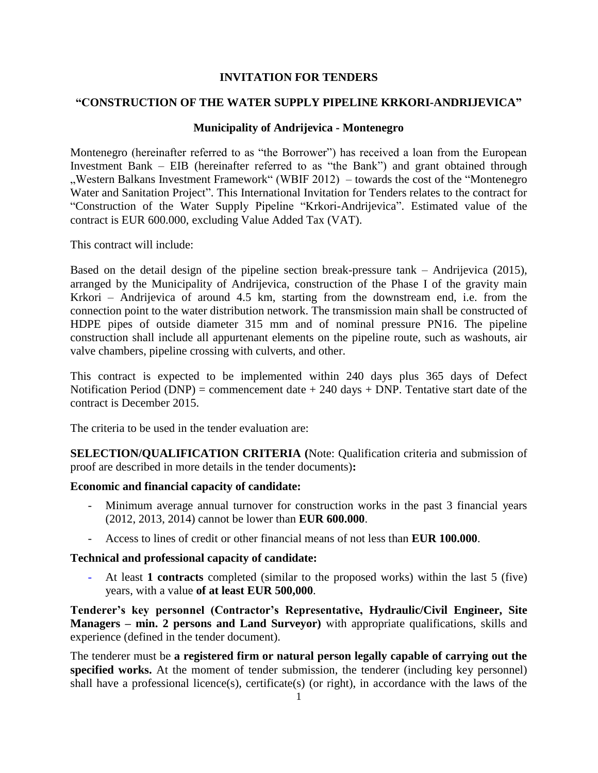### **INVITATION FOR TENDERS**

## **"CONSTRUCTION OF THE WATER SUPPLY PIPELINE KRKORI-ANDRIJEVICA"**

#### **Municipality of Andrijevica - Montenegro**

Montenegro (hereinafter referred to as "the Borrower") has received a loan from the European Investment Bank – EIB (hereinafter referred to as "the Bank") and grant obtained through "Western Balkans Investment Framework" (WBIF 2012) – towards the cost of the "Montenegro" Water and Sanitation Project". This International Invitation for Tenders relates to the contract for "Construction of the Water Supply Pipeline "Krkori-Andrijevica". Estimated value of the contract is EUR 600.000, excluding Value Added Tax (VAT).

This contract will include:

Based on the detail design of the pipeline section break-pressure tank – Andrijevica (2015), arranged by the Municipality of Andrijevica, construction of the Phase I of the gravity main Krkori – Andrijevica of around 4.5 km, starting from the downstream end, i.e. from the connection point to the water distribution network. The transmission main shall be constructed of HDPE pipes of outside diameter 315 mm and of nominal pressure PN16. The pipeline construction shall include all appurtenant elements on the pipeline route, such as washouts, air valve chambers, pipeline crossing with culverts, and other.

This contract is expected to be implemented within 240 days plus 365 days of Defect Notification Period (DNP) = commencement date  $+ 240$  days  $+$  DNP. Tentative start date of the contract is December 2015.

The criteria to be used in the tender evaluation are:

**SELECTION/QUALIFICATION CRITERIA (**Note: Qualification criteria and submission of proof are described in more details in the tender documents)**:**

#### **Economic and financial capacity of candidate:**

- Minimum average annual turnover for construction works in the past 3 financial years (2012, 2013, 2014) cannot be lower than **EUR 600.000**.
- Access to lines of credit or other financial means of not less than **EUR 100.000**.

#### **Technical and professional capacity of candidate:**

- At least **1 contracts** completed (similar to the proposed works) within the last 5 (five) years, with a value **of at least EUR 500,000**.

**Tenderer's key personnel (Contractor's Representative, Hydraulic/Civil Engineer, Site Managers – min. 2 persons and Land Surveyor)** with appropriate qualifications, skills and experience (defined in the tender document).

The tenderer must be **a registered firm or natural person legally capable of carrying out the**  specified works. At the moment of tender submission, the tenderer (including key personnel) shall have a professional licence(s), certificate(s) (or right), in accordance with the laws of the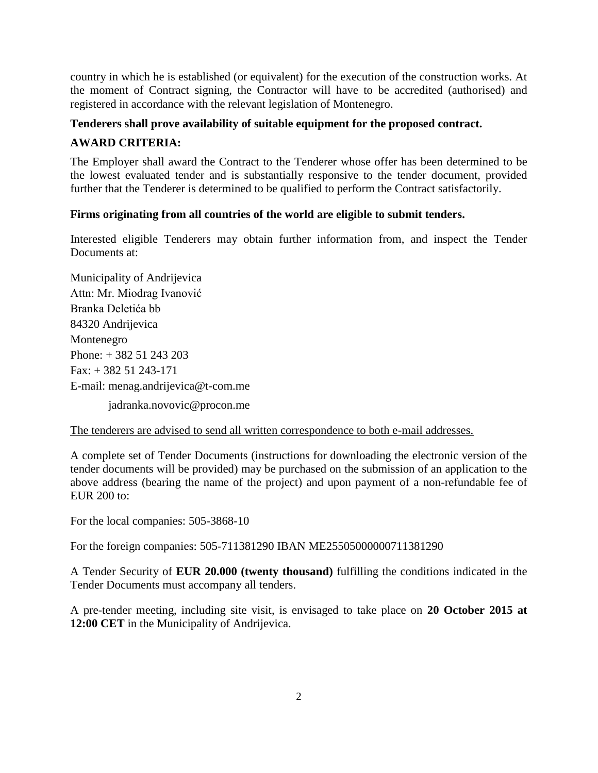country in which he is established (or equivalent) for the execution of the construction works. At the moment of Contract signing, the Contractor will have to be accredited (authorised) and registered in accordance with the relevant legislation of Montenegro.

## **Tenderers shall prove availability of suitable equipment for the proposed contract.**

# **AWARD CRITERIA:**

The Employer shall award the Contract to the Tenderer whose offer has been determined to be the lowest evaluated tender and is substantially responsive to the tender document, provided further that the Tenderer is determined to be qualified to perform the Contract satisfactorily.

## **Firms originating from all countries of the world are eligible to submit tenders.**

Interested eligible Tenderers may obtain further information from, and inspect the Tender Documents at:

Municipality of Andrijevica Attn: Mr. Miodrag Ivanović Branka Deletića bb 84320 Andrijevica Montenegro Phone: + 382 51 243 203 Fax: + 382 51 243-171 E-mail: [menag.andrijevica@t-com.me](mailto:menag.andrijevica@t-com.me)

jadranka.novovic@procon.me

The tenderers are advised to send all written correspondence to both e-mail addresses.

A complete set of Tender Documents (instructions for downloading the electronic version of the tender documents will be provided) may be purchased on the submission of an application to the above address (bearing the name of the project) and upon payment of a non-refundable fee of EUR 200 to:

For the local companies: 505-3868-10

For the foreign companies: 505-711381290 IBAN ME25505000000711381290

A Tender Security of **EUR 20.000 (twenty thousand)** fulfilling the conditions indicated in the Tender Documents must accompany all tenders.

A pre-tender meeting, including site visit, is envisaged to take place on **20 October 2015 at 12:00 CET** in the Municipality of Andrijevica.